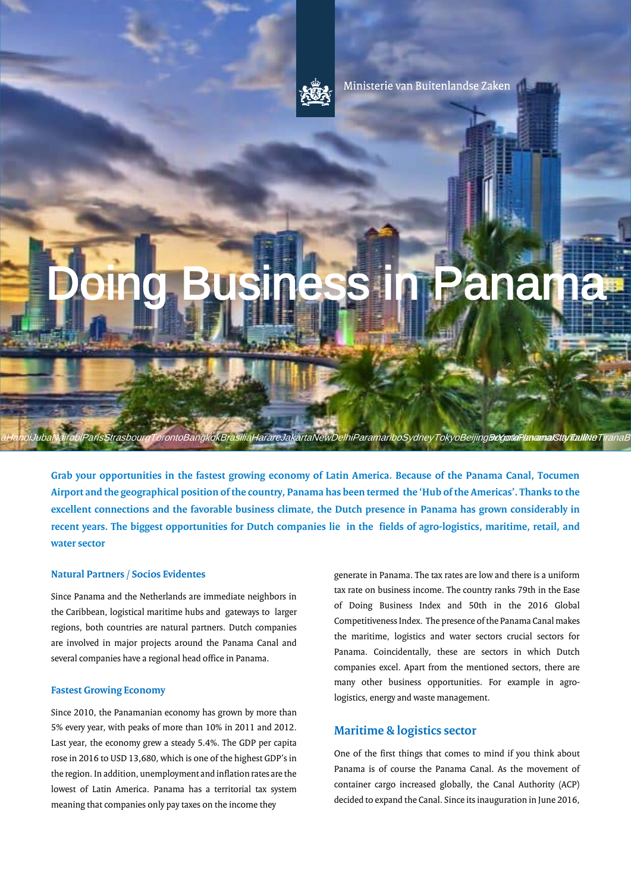

Ministerie van Buitenlandse Zaken

# **Boing Business in Panama**

**Grab your opportunities in the fastest growing economy of Latin America. Because of the Panama Canal, Tocumen Airport and the geographical position of the country, Panama has been termed the 'Hub of the Americas'. Thanks to the excellent connections and the favorable business climate, the Dutch presence in Panama has grown considerably in recent years. The biggest opportunities for Dutch companies lie in the fields of agro-logistics, maritime, retail, and water sector**

arisStrasbourgTorontoBangkokBrasiliaHarareJakartaNewDelhiParamariboSydneyTokyoBeijing**Bo⁄gotlaPavamalSityrlialliNe**Tiran

#### **Natural Partners / Socios Evidentes**

**ENG** 

Since Panama and the Netherlands are immediate neighbors in the Caribbean, logistical maritime hubs and gateways to larger regions, both countries are natural partners. Dutch companies are involved in major projects around the Panama Canal and several companies have a regional head office in Panama.

# **Fastest Growing Economy**

Since 2010, the Panamanian economy has grown by more than 5% every year, with peaks of more than 10% in 2011 and 2012. Last year, the economy grew a steady 5.4%. The GDP per capita rose in 2016 to USD 13,680, which is one of the highest GDP's in the region. In addition, unemployment and inflation rates are the lowest of Latin America. Panama has a territorial tax system meaning that companies only pay taxes on the income they

generate in Panama. The tax rates are low and there is a uniform tax rate on business income. The country ranks 79th in the Ease of Doing Business Index and 50th in the 2016 Global Competitiveness Index. The presence of the Panama Canal makes the maritime, logistics and water sectors crucial sectors for Panama. Coincidentally, these are sectors in which Dutch companies excel. Apart from the mentioned sectors, there are many other business opportunities. For example in agrologistics, energy and waste management.

# **Maritime & logistics sector**

One of the first things that comes to mind if you think about Panama is of course the Panama Canal. As the movement of container cargo increased globally, the Canal Authority (ACP) decided to expand the Canal. Since its inauguration in June 2016,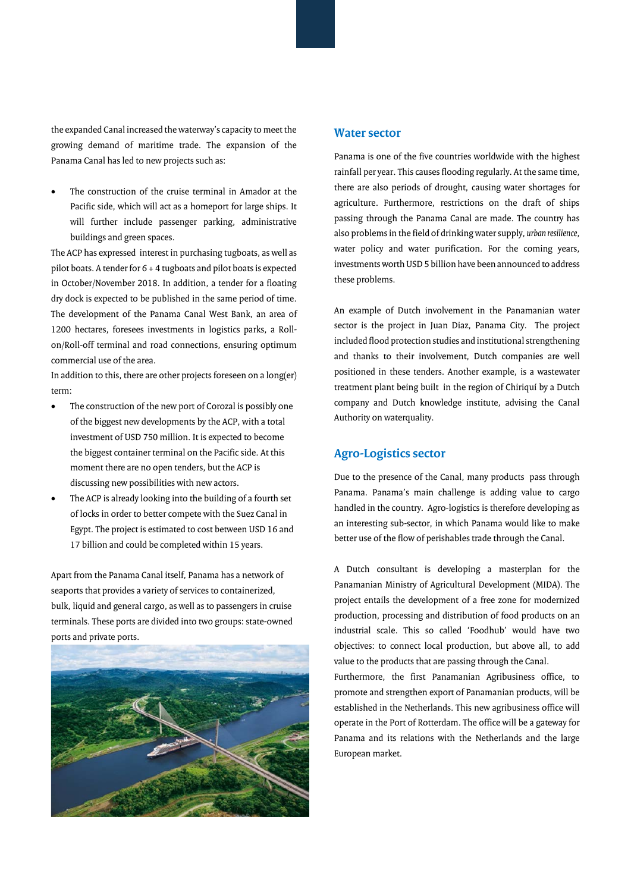the expanded Canal increased the waterway's capacity to meet the growing demand of maritime trade. The expansion of the Panama Canal has led to new projects such as:

The construction of the cruise terminal in Amador at the Pacific side, which will act as a homeport for large ships. It will further include passenger parking, administrative buildings and green spaces.

The ACP has expressed interest in purchasing tugboats, as well as pilot boats. A tender for  $6 + 4$  tugboats and pilot boats is expected in October/November 2018. In addition, a tender for a floating dry dock is expected to be published in the same period of time. The development of the Panama Canal West Bank, an area of 1200 hectares, foresees investments in logistics parks, a Rollon/Roll-off terminal and road connections, ensuring optimum commercial use of the area.

In addition to this, there are other projects foreseen on a long(er) term:

- The construction of the new port of Corozal is possibly one of the biggest new developments by the ACP, with a total investment of USD 750 million. It is expected to become the biggest container terminal on the Pacific side. At this moment there are no open tenders, but the ACP is discussing new possibilities with new actors.
- The ACP is already looking into the building of a fourth set of locks in order to better compete with the Suez Canal in Egypt. The project is estimated to cost between USD 16 and 17 billion and could be completed within 15 years.

Apart from the Panama Canal itself, Panama has a network of seaports that provides a variety of services to containerized, bulk, liquid and general cargo, as well as to passengers in cruise terminals. These ports are divided into two groups: state-owned ports and private ports.



# **Water sector**

Panama is one of the five countries worldwide with the highest rainfall per year. This causes flooding regularly. At the same time, there are also periods of drought, causing water shortages for agriculture. Furthermore, restrictions on the draft of ships passing through the Panama Canal are made. The country has also problems in the field of drinking water supply, *urban resilience*, water policy and water purification. For the coming years, investments worth USD 5 billion have been announced to address these problems.

An example of Dutch involvement in the Panamanian water sector is the project in Juan Diaz, Panama City. The project included flood protection studies and institutional strengthening and thanks to their involvement, Dutch companies are well positioned in these tenders. Another example, is a wastewater treatment plant being built in the region of Chiriquí by a Dutch company and Dutch knowledge institute, advising the Canal Authority on waterquality.

# **Agro-Logistics sector**

Due to the presence of the Canal, many products pass through Panama. Panama's main challenge is adding value to cargo handled in the country. Agro-logistics is therefore developing as an interesting sub-sector, in which Panama would like to make better use of the flow of perishables trade through the Canal.

A Dutch consultant is developing a masterplan for the Panamanian Ministry of Agricultural Development (MIDA). The project entails the development of a free zone for modernized production, processing and distribution of food products on an industrial scale. This so called 'Foodhub' would have two objectives: to connect local production, but above all, to add value to the products that are passing through the Canal.

Furthermore, the first Panamanian Agribusiness office, to promote and strengthen export of Panamanian products, will be established in the Netherlands. This new agribusiness office will operate in the Port of Rotterdam. The office will be a gateway for Panama and its relations with the Netherlands and the large European market.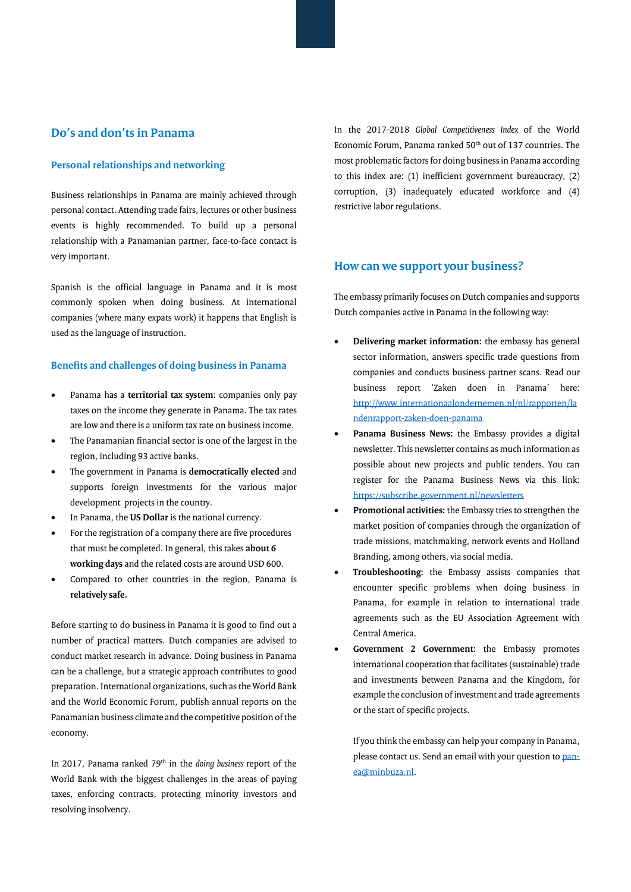# **Do's and don'ts in Panama**

## **Personal relationships and networking**

Business relationships in Panama are mainly achieved through personal contact. Attending trade fairs, lectures or other business events is highly recommended. To build up a personal relationship with a Panamanian partner, face-to-face contact is very important.

Spanish is the official language in Panama and it is most commonly spoken when doing business. At international companies (where many expats work) it happens that English is used as the language of instruction.

# **Benefits and challenges of doing business in Panama**

- Panama has a **territorial tax system**: companies only pay taxes on the income they generate in Panama. The tax rates are low and there is a uniform tax rate on business income.
- The Panamanian financial sector is one of the largest in the region, including 93 active banks.
- The government in Panama is **democratically elected** and supports foreign investments for the various major development projects in the country.
- In Panama, the **US Dollar** is the national currency.
- For the registration of a company there are five procedures that must be completed. In general, this takes **about 6 working days** and the related costs are around USD 600.
- Compared to other countries in the region, Panama is **relatively safe.**

Before starting to do business in Panama it is good to find out a number of practical matters. Dutch companies are advised to conduct market research in advance. Doing business in Panama can be a challenge, but a strategic approach contributes to good preparation. International organizations, such as the World Bank and the World Economic Forum, publish annual reports on the Panamanian business climate and the competitive position of the economy.

In 2017, Panama ranked 79th in the *doing business* report of the World Bank with the biggest challenges in the areas of paying taxes, enforcing contracts, protecting minority investors and resolving insolvency.

In the 2017-2018 *Global Competitiveness Index* of the World Economic Forum, Panama ranked  $50<sup>th</sup>$  out of 137 countries. The most problematic factors for doing business in Panama according to this index are: (1) inefficient government bureaucracy, (2) corruption, (3) inadequately educated workforce and (4) restrictive labor regulations.

# **How can we support your business?**

The embassy primarily focuses on Dutch companies and supports Dutch companies active in Panama in the following way:

- **Delivering market information:** the embassy has general sector information, answers specific trade questions from companies and conducts business partner scans. Read our business report 'Zaken doen in Panama' here: [http://www.internationaalondernemen.nl/nl/rapporten/la](http://www.internationaalondernemen.nl/nl/rapporten/landenrapport-zaken-doen-panama) [ndenrapport-zaken-doen-panama](http://www.internationaalondernemen.nl/nl/rapporten/landenrapport-zaken-doen-panama)
- Panama Business News: the Embassy provides a digital newsletter. This newsletter contains as much information as possible about new projects and public tenders. You can register for the Panama Business News via this link: <https://subscribe.government.nl/newsletters>
- **Promotional activities:** the Embassy tries to strengthen the market position of companies through the organization of trade missions, matchmaking, network events and Holland Branding, among others, via social media.
- **Troubleshooting:** the Embassy assists companies that encounter specific problems when doing business in Panama, for example in relation to international trade agreements such as the EU Association Agreement with Central America.
- Government 2 Government: the Embassy promotes international cooperation that facilitates (sustainable) trade and investments between Panama and the Kingdom, for example the conclusion of investment and trade agreements or the start of specific projects.

If you think the embassy can help your company in Panama, please contact us. Send an email with your question t[o pan](mailto:pan-ea@minbuza.nl)[ea@minbuza.nl.](mailto:pan-ea@minbuza.nl)